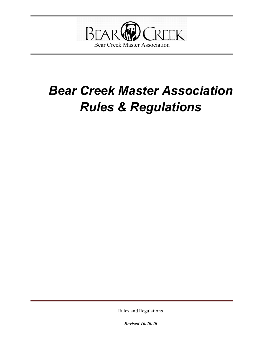

# *Bear Creek Master Association Rules & Regulations*

Rules and Regulations

*Revised 10.20.20*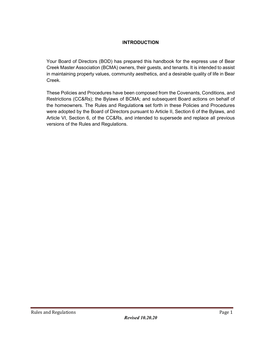## **INTRODUCTION**

Your Board of Directors (BOD) has prepared this handbook for the express use of Bear Creek Master Association (BCMA) owners, their guests, and tenants. It is intended to assist in maintaining property values, community aesthetics, and a desirable quality of life in Bear Creek.

These Policies and Procedures have been composed from the Covenants, Conditions, and Restrictions (CC&Rs); the Bylaws of BCMA; and subsequent Board actions on behalf of the homeowners. The Rules and Regulation**s** set forth in these Policies and Procedures were adopted by the Board of Directors pursuant to Article II, Section 6 of the Bylaws, and Article VI, Section 6, of the CC&Rs, and intended to supersede and replace all previous versions of the Rules and Regulations.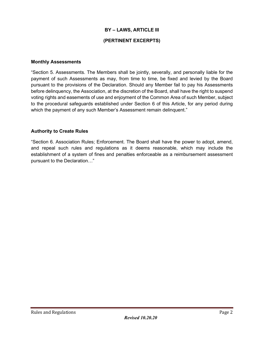## **BY – LAWS, ARTICLE III (PERTINENT EXCERPTS)**

#### **Monthly Assessments**

"Section 5. Assessments. The Members shall be jointly, severally, and personally liable for the payment of such Assessments as may, from time to time, be fixed and levied by the Board pursuant to the provisions of the Declaration. Should any Member fail to pay his Assessments before delinquency, the Association, at the discretion of the Board, shall have the right to suspend voting rights and easements of use and enjoyment of the Common Area of such Member, subject to the procedural safeguards established under Section 6 of this Article, for any period during which the payment of any such Member's Assessment remain delinquent."

#### **Authority to Create Rules**

"Section 6. Association Rules; Enforcement. The Board shall have the power to adopt, amend, and repeal such rules and regulations as it deems reasonable, which may include the establishment of a system of fines and penalties enforceable as a reimbursement assessment pursuant to the Declaration…"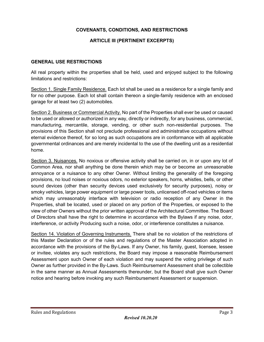## **COVENANTS, CONDITIONS, AND RESTRICTIONS**

## **ARTICLE III (PERTINENT EXCERPTS)**

#### **GENERAL USE RESTRICTIONS**

All real property within the properties shall be held, used and enjoyed subject to the following limitations and restrictions:

Section 1. Single Family Residence. Each lot shall be used as a residence for a single family and for no other purpose. Each lot shall contain thereon a single-family residence with an enclosed garage for at least two (2) automobiles.

Section 2. Business or Commercial Activity. No part of the Properties shall ever be used or caused to be used or allowed or authorized in any way, directly or indirectly, for any business, commercial, manufacturing, mercantile, storage, vending, or other such non-residential purposes. The provisions of this Section shall not preclude professional and administrative occupations without eternal evidence thereof, for so long as such occupations are in conformance with all applicable governmental ordinances and are merely incidental to the use of the dwelling unit as a residential home.

Section 3. Nuisances. No noxious or offensive activity shall be carried on, in or upon any lot of Common Area, nor shall anything be done therein which may be or become an unreasonable annoyance or a nuisance to any other Owner. Without limiting the generality of the foregoing provisions, no loud noises or noxious odors, no exterior speakers, horns, whistles, bells, or other sound devices (other than security devices used exclusively for security purposes), noisy or smoky vehicles, large power equipment or large power tools, unlicensed off-road vehicles or items which may unreasonably interface with television or radio reception of any Owner in the Properties, shall be located, used or placed on any portion of the Properties, or exposed to the view of other Owners without the prior written approval of the Architectural Committee. The Board of Directors shall have the right to determine in accordance with the Bylaws if any noise, odor, interference, or activity Producing such a noise, odor, or interference constitutes a nuisance.

Section 14. Violation of Governing Instruments. There shall be no violation of the restrictions of this Master Declaration or of the rules and regulations of the Master Association adopted in accordance with the provisions of the By-Laws. If any Owner, his family, guest, licensee, lessee or invitee, violates any such restrictions, the Board may impose a reasonable Reimbursement Assessment upon such Owner of each violation and may suspend the voting privilege of such Owner as further provided in the By-Laws. Such Reimbursement Assessment shall be collectible in the same manner as Annual Assessments thereunder, but the Board shall give such Owner notice and hearing before invoking any such Reimbursement Assessment or suspension.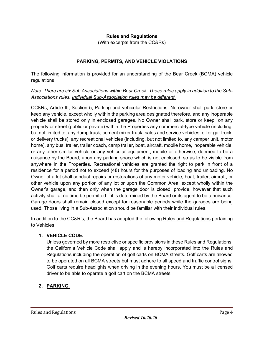## **Rules and Regulations**

(With excerpts from the CC&Rs)

## **PARKING, PERMITS, AND VEHICLE VIOLATIONS**

The following information is provided for an understanding of the Bear Creek (BCMA) vehicle regulations.

*Note: There are six Sub Associations within Bear Creek. These rules apply in addition to the Sub-Associations rules. Individual Sub-Association rules may be different.*

CC&Rs, Article III, Section 5, Parking and vehicular Restrictions. No owner shall park, store or keep any vehicle, except wholly within the parking area designated therefore, and any inoperable vehicle shall be stored only in enclosed garages. No Owner shall park, store or keep on any property or street (public or private) within the Properties any commercial-type vehicle (including, but not limited to, any dump truck, cement mixer truck, sales and service vehicles, oil or gar truck, or delivery trucks), any recreational vehicles (including, but not limited to, any camper unit, motor home), any bus, trailer, trailer coach, camp trailer, boat, aircraft, mobile home, inoperable vehicle, or any other similar vehicle or any vehicular equipment, mobile or otherwise, deemed to be a nuisance by the Board, upon any parking space which is not enclosed, so as to be visible from anywhere in the Properties*.* Recreational vehicles are granted the right to park in front of a residence for a period not to exceed (48) hours for the purposes of loading and unloading. No Owner of a lot shall conduct repairs or restorations of any motor vehicle, boat, trailer, aircraft, or other vehicle upon any portion of any lot or upon the Common Area, except wholly within the Owner's garage, and then only when the garage door is closed: provide, however that such activity shall at no time be permitted if it is determined by the Board or its agent to be a nuisance. Garage doors shall remain closed except for reasonable periods while the garages are being used*.* Those living in a Sub-Association should be familiar with their individual rules.

In addition to the CC&R's, the Board has adopted the following Rules and Regulations pertaining to Vehicles:

#### **1. VEHICLE CODE.**

Unless governed by more restrictive or specific provisions in these Rules and Regulations, the California Vehicle Code shall apply and is hereby incorporated into the Rules and Regulations including the operation of golf carts on BCMA streets. Golf carts are allowed to be operated on all BCMA streets but must adhere to all speed and traffic control signs. Golf carts require headlights when driving in the evening hours. You must be a licensed driver to be able to operate a golf cart on the BCMA streets.

## **2. PARKING.**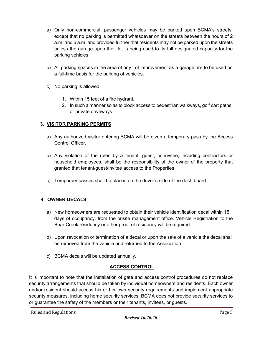- a) Only non-commercial, passenger vehicles may be parked upon BCMA's streets, except that no parking is permitted whatsoever on the streets between the hours of 2 a.m. and 6 a.m. and provided further that residents may not be parked upon the streets unless the garage upon their lot is being used to its full designated capacity for the parking vehicles.
- b) All parking spaces in the area of any Lot improvement as a garage are to be used on a full-time basis for the parking of vehicles.
- c) No parking is allowed:
	- 1. Within 15 feet of a fire hydrant.
	- 2. In such a manner so as to block access to pedestrian walkways, golf cart paths, or private driveways.

## **3. VISITOR PARKING PERMITS**

- a) Any authorized visitor entering BCMA will be given a temporary pass by the Access Control Officer.
- b) Any violation of the rules by a tenant, guest, or invitee, including contractors or household employees, shall be the responsibility of the owner of the property that granted that tenant/guest/invitee access to the Properties.
- c) Temporary passes shall be placed on the driver's side of the dash board.

## **4. OWNER DECALS**

- a) New homeowners are requested to obtain their vehicle identification decal within 15 days of occupancy, from the onsite management office. Vehicle Registration to the Bear Creek residency or other proof of residency will be required.
- b) Upon revocation or termination of a decal or upon the sale of a vehicle the decal shall be removed from the vehicle and returned to the Association.
- c) BCMA decals will be updated annually.

## **ACCESS CONTROL**

It is important to note that the installation of gate and access control procedures do not replace security arrangements that should be taken by individual homeowners and residents. Each owner and/or resident should access his or her own security requirements and implement appropriate security measures, including home security services. BCMA does not provide security services to or guarantee the safety of the members or their tenants, invitees, or guests.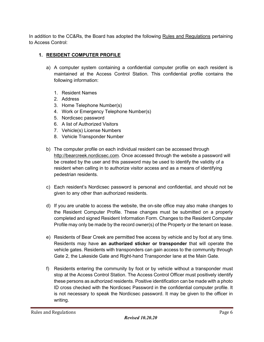In addition to the CC&Rs, the Board has adopted the following Rules and Regulations pertaining to Access Control:

## **1. RESIDENT COMPUTER PROFILE**

- a) A computer system containing a confidential computer profile on each resident is maintained at the Access Control Station. This confidential profile contains the following information:
	- 1. Resident Names
	- 2. Address
	- 3. Home Telephone Number(s)
	- 4. Work or Emergency Telephone Number(s)
	- 5. Nordicsec password
	- 6. A list of Authorized Visitors
	- 7. Vehicle(s) License Numbers
	- 8. Vehicle Transponder Number
- b) The computer profile on each individual resident can be accessed through [http://bearcreek.nordicsec.com.](http://bearcreek.nordicsec.com/) Once accessed through the website a password will be created by the user and this password may be used to identify the validity of a resident when calling in to authorize visitor access and as a means of identifying pedestrian residents.
- c) Each resident's Nordicsec password is personal and confidential, and should not be given to any other than authorized residents.
- d) If you are unable to access the website, the on-site office may also make changes to the Resident Computer Profile. These changes must be submitted on a properly completed and signed Resident Information Form. Changes to the Resident Computer Profile may only be made by the record owner(s) of the Property or the tenant on lease.
- e) Residents of Bear Creek are permitted free access by vehicle and by foot at any time. Residents may have **an authorized sticker or transponder** that will operate the vehicle gates. Residents with transponders can gain access to the community through Gate 2, the Lakeside Gate and Right-hand Transponder lane at the Main Gate.
- f) Residents entering the community by foot or by vehicle without a transponder must stop at the Access Control Station. The Access Control Officer must positively identify these persons as authorized residents. Positive identification can be made with a photo ID cross checked with the Nordicsec Password in the confidential computer profile. It is not necessary to speak the Nordicsec password. It may be given to the officer in writing.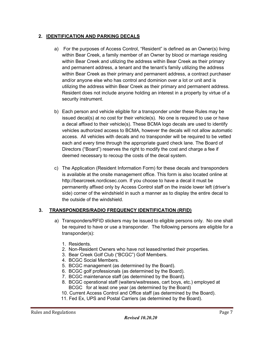## **2. IDENTIFICATION AND PARKING DECALS**

- a) For the purposes of Access Control, "Resident" is defined as an Owner(s) living within Bear Creek, a family member of an Owner by blood or marriage residing within Bear Creek and utilizing the address within Bear Creek as their primary and permanent address, a tenant and the tenant's family utilizing the address within Bear Creek as their primary and permanent address, a contract purchaser and/or anyone else who has control and dominion over a lot or unit and is utilizing the address within Bear Creek as their primary and permanent address. Resident does not include anyone holding an interest in a property by virtue of a security instrument.
- b) Each person and vehicle eligible for a transponder under these Rules may be issued decal(s) at no cost for their vehicle(s). No one is required to use or have a decal affixed to their vehicle(s). These BCMA logo decals are used to identify vehicles authorized access to BCMA, however the decals will not allow automatic access. All vehicles with decals and no transponder will be required to be vetted each and every time through the appropriate guard check lane. The Board of Directors ("Board") reserves the right to modify the cost and charge a fee if deemed necessary to recoup the costs of the decal system.
- c) The Application (Resident Information Form) for these decals and transponders is available at the onsite management office. This form is also located online at http://bearcreek.nordicsec.com. If you choose to have a decal it must be permanently affixed only by Access Control staff on the inside lower left (driver's side) corner of the windshield in such a manner as to display the entire decal to the outside of the windshield.

## **3. TRANSPONDERS/RADIO FREQUENCY IDENTIFICATION (RFID)**

- a) Transponders/RFID stickers may be issued to eligible persons only. No one shall be required to have or use a transponder. The following persons are eligible for a transponder(s):
	- 1. Residents.
	- 2. Non-Resident Owners who have not leased/rented their properties.
	- 3. Bear Creek Golf Club ("BCGC") Golf Members.
	- 4. BCGC Social Members.
	- 5. BCGC management (as determined by the Board).
	- 6. BCGC golf professionals (as determined by the Board).
	- 7. BCGC maintenance staff (as determined by the Board).
	- 8. BCGC operational staff (waiters/waitresses, cart boys, etc.) employed at BCGC for at least one year (as determined by the Board)
	- 10. Current Access Control and Office staff (as determined by the Board).
	- 11. Fed Ex, UPS and Postal Carriers (as determined by the Board).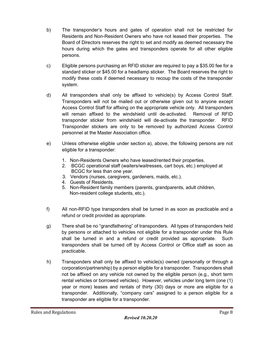- b) The transponder's hours and gates of operation shall not be restricted for Residents and Non-Resident Owners who have not leased their properties. The Board of Directors reserves the right to set and modify as deemed necessary the hours during which the gates and transponders operate for all other eligible persons.
- c) Eligible persons purchasing an RFID sticker are required to pay a \$35.00 fee for a standard sticker or \$45.00 for a headlamp sticker. The Board reserves the right to modify these costs if deemed necessary to recoup the costs of the transponder system.
- d) All transponders shall only be affixed to vehicle(s) by Access Control Staff. Transponders will not be mailed out or otherwise given out to anyone except Access Control Staff for affixing on the appropriate vehicle only. All transponders will remain affixed to the windshield until de-activated. Removal of RFID transponder sticker from windshield will de-activate the transponder. RFID Transponder stickers are only to be removed by authorized Access Control personnel at the Master Association office.
- e) Unless otherwise eligible under section a), above, the following persons are not eligible for a transponder:
	- 1. Non-Residents Owners who have leased/rented their properties.
	- 2. BCGC operational staff (waiters/waitresses, cart boys, etc.) employed at BCGC for less than one year.
	- 3. Vendors (nurses, caregivers, gardeners, maids, etc.).
	- 4. Guests of Residents.
	- 5. Non-Resident family members (parents, grandparents, adult children, Non-resident college students, etc.).
- f) All non-RFID type transponders shall be turned in as soon as practicable and a refund or credit provided as appropriate.
- g) There shall be no "grandfathering" of transponders. All types of transponders held by persons or attached to vehicles not eligible for a transponder under this Rule shall be turned in and a refund or credit provided as appropriate. Such transponders shall be turned off by Access Control or Office staff as soon as practicable.
- h) Transponders shall only be affixed to vehicle(s) owned (personally or through a corporation/partnership) by a person eligible for a transponder. Transponders shall not be affixed on any vehicle not owned by the eligible person (e.g., short term rental vehicles or borrowed vehicles). However, vehicles under long term (one (1) year or more) leases and rentals of thirty (30) days or more are eligible for a transponder. Additionally, "company cars" assigned to a person eligible for a transponder are eligible for a transponder.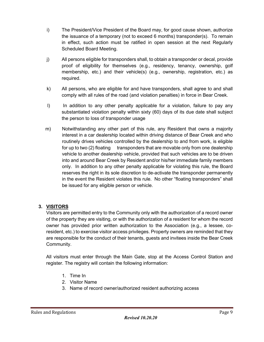- i) The President/Vice President of the Board may, for good cause shown, authorize the issuance of a temporary (not to exceed 6 months) transponder(s). To remain in effect, such action must be ratified in open session at the next Regularly Scheduled Board Meeting.
- j) All persons eligible for transponders shall, to obtain a transponder or decal, provide proof of eligibility for themselves (e.g., residency, tenancy, ownership, golf membership, etc.) and their vehicle(s) (e.g., ownership, registration, etc.) as required.
- k) All persons, who are eligible for and have transponders, shall agree to and shall comply with all rules of the road (and violation penalties) in force in Bear Creek.
- I) In addition to any other penalty applicable for a violation, failure to pay any substantiated violation penalty within sixty (60) days of its due date shall subject the person to loss of transponder usage
- m) Notwithstanding any other part of this rule, any Resident that owns a majority interest in a car dealership located within driving distance of Bear Creek and who routinely drives vehicles controlled by the dealership to and from work, is eligible for up to two (2) floating transponders that are movable only from one dealership vehicle to another dealership vehicle, provided that such vehicles are to be driven into and around Bear Creek by Resident and/or his/her immediate family members only. In addition to any other penalty applicable for violating this rule, the Board reserves the right in its sole discretion to de-activate the transponder permanently in the event the Resident violates this rule. No other "floating transponders" shall be issued for any eligible person or vehicle.

## **3. VISITORS**

Visitors are permitted entry to the Community only with the authorization of a record owner of the property they are visiting, or with the authorization of a resident for whom the record owner has provided prior written authorization to the Association (e.g., a lessee, coresident, etc.) to exercise visitor access privileges. Property owners are reminded that they are responsible for the conduct of their tenants, guests and invitees inside the Bear Creek Community.

All visitors must enter through the Main Gate, stop at the Access Control Station and register. The registry will contain the following information:

- 1. Time In
- 2. Visitor Name
- 3. Name of record owner/authorized resident authorizing access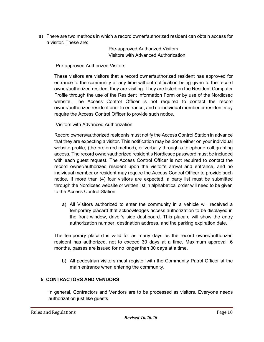a) There are two methods in which a record owner/authorized resident can obtain access for a visitor. These are:

> Pre-approved Authorized Visitors Visitors with Advanced Authorization

Pre-approved Authorized Visitors

These visitors are visitors that a record owner/authorized resident has approved for entrance to the community at any time without notification being given to the record owner/authorized resident they are visiting. They are listed on the Resident Computer Profile through the use of the Resident Information Form or by use of the Nordicsec website. The Access Control Officer is not required to contact the record owner/authorized resident prior to entrance, and no individual member or resident may require the Access Control Officer to provide such notice.

Visitors with Advanced Authorization

Record owners/authorized residents must notify the Access Control Station in advance that they are expecting a visitor. This notification may be done either on your individual website profile, (the preferred method), or verbally through a telephone call granting access. The record owner/authorized resident's Nordicsec password must be included with each guest request. The Access Control Officer is not required to contact the record owner/authorized resident upon the visitor's arrival and entrance, and no individual member or resident may require the Access Control Officer to provide such notice. If more than (4) four visitors are expected, a party list must be submitted through the Nordicsec website or written list in alphabetical order will need to be given to the Access Control Station.

a) All Visitors authorized to enter the community in a vehicle will received a temporary placard that acknowledges access authorization to be displayed in the front window, driver's side dashboard. This placard will show the entry authorization number, destination address, and the parking expiration date.

The temporary placard is valid for as many days as the record owner/authorized resident has authorized, not to exceed 30 days at a time. Maximum approval: 6 months, passes are issued for no longer than 30 days at a time.

b) All pedestrian visitors must register with the Community Patrol Officer at the main entrance when entering the community.

## **5. CONTRACTORS AND VENDORS**

In general, Contractors and Vendors are to be processed as visitors. Everyone needs authorization just like guests.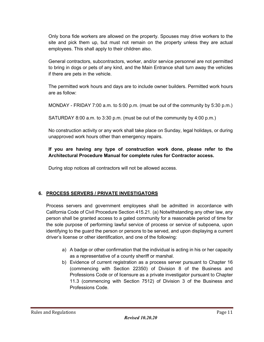Only bona fide workers are allowed on the property. Spouses may drive workers to the site and pick them up, but must not remain on the property unless they are actual employees. This shall apply to their children also.

General contractors, subcontractors, worker, and/or service personnel are not permitted to bring in dogs or pets of any kind, and the Main Entrance shall turn away the vehicles if there are pets in the vehicle.

The permitted work hours and days are to include owner builders. Permitted work hours are as follow:

MONDAY - FRIDAY 7:00 a.m. to 5:00 p.m. (must be out of the community by 5:30 p.m.)

SATURDAY 8:00 a.m. to 3:30 p.m. (must be out of the community by 4:00 p.m.)

No construction activity or any work shall take place on Sunday, legal holidays, or during unapproved work hours other than emergency repairs.

## **If you are having any type of construction work done, please refer to the Architectural Procedure Manual for complete rules for Contractor access.**

During stop notices all contractors will not be allowed access.

## **6. PROCESS SERVERS / PRIVATE INVESTIGATORS**

Process servers and government employees shall be admitted in accordance with California Code of Civil Procedure Section 415.21. (a) Notwithstanding any other law, any person shall be granted access to a gated community for a reasonable period of time for the sole purpose of performing lawful service of process or service of subpoena, upon identifying to the guard the person or persons to be served, and upon displaying a current driver's license or other identification, and one of the following:

- a) A badge or other confirmation that the individual is acting in his or her capacity as a representative of a county sheriff or marshal.
- b) Evidence of current registration as a process server pursuant to Chapter 16 (commencing with Section 22350) of Division 8 of the Business and Professions Code or of licensure as a private investigator pursuant to Chapter 11.3 (commencing with Section 7512) of Division 3 of the Business and Professions Code.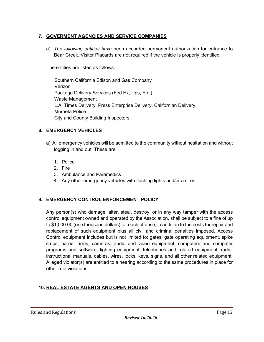## **7. GOVERMENT AGENCIES AND SERVICE COMPANIES**

a) *The following entities have* been accorded permanent authorization for entrance to Bear Creek. Visitor Placards are not required if the vehicle is properly identified.

The entities are listed as follows:

 Southern California Edison and Gas Company Verizon Package Delivery Services (Fed Ex, Ups, Etc.) Waste Management L.A. Times Delivery, Press Enterprise Delivery, Californian Delivery Murrieta Police City and County Building Inspectors

## **8. EMERGENCY VEHICLES**

- a) All emergency vehicles will be admitted to the community without hesitation and without logging in and out. These are:
	- 1. Police
	- 2. Fire
	- 3. Ambulance and Paramedics
	- 4. Any other emergency vehicles with flashing lights and/or a siren

## **9. EMERGENCY CONTROL ENFORCEMENT POLICY**

Any person(s) who damage, alter, steal, destroy, or in any way tamper with the access control equipment owned and operated by the Association, shall be subject to a fine of up to \$1,000.00 (one thousand dollars) for each offense, in addition to the costs for repair and replacement of such equipment plus all civil and criminal penalties imposed. Access Control equipment includes but is not limited to: gates, gate operating equipment, spike strips, barrier arms, cameras, audio and video equipment, computers and computer programs and software, lighting equipment, telephones and related equipment, radio, instructional manuals, cables, wires, locks, keys, signs, and all other related equipment. Alleged violator(s) are entitled to a hearing according to the same procedures in place for other rule violations.

#### **10. REAL ESTATE AGENTS AND OPEN HOUSES**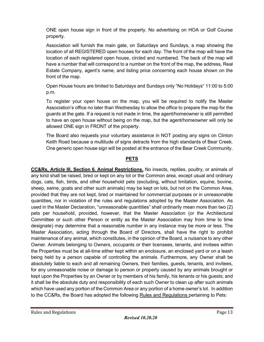ONE open house sign in front of the property. No advertising on HOA or Golf Course property.

Association will furnish the main gate, on Saturdays and Sundays, a map showing the location of all REGISTERED open houses for each day. The front of the map will have the location of each registered open house, circled and numbered. The back of the map will have a number that will correspond to a number on the front of the map, the address, Real Estate Company, agent's name, and listing price concerning each house shown on the front of the map.

Open House hours are limited to Saturdays and Sundays only "No Holidays" 11:00 to 5:00 p.m.

To register your open house on the map, you will be required to notify the Master Association's office no later than Wednesday to allow the office to prepare the map for the guards at the gate. If a request is not made in time, the agent/homeowner is still permitted to have an open house without being on the map, but the agent/homeowner will only be allowed ONE sign in FRONT of the property.

The Board also requests your voluntary assistance in NOT posting any signs on Clinton Keith Road because a multitude of signs detracts from the high standards of Bear Creek. One generic open house sign will be posted at the entrance of the Bear Creek Community.

## **PETS**

**CC&Rs, Article III, Section 6. Animal Restrictions.** No insects, reptiles, poultry, or animals of any kind shall be raised, bred or kept on any lot or the Common area, except usual and ordinary dogs, cats, fish, birds, and other household pets (excluding, without limitation, equine, bovine, sheep, swine, goats and other such animals) may be kept on lots, but not on the Common Area, provided that they are not kept, bred or maintained for commercial purposes or in unreasonable quantities, nor in violation of the rules and regulations adopted by the Master Association. As used in the Master Declaration, "unreasonable quantities" shall ordinarily mean more than two (2) pets per household, provided, however, that the Master Association (or the Architectural Committee or such other Person or entity as the Master Association may from time to time designate) may determine that a reasonable number in any instance may be more or less. The Master Association, acting through the Board of Directors, shall have the right to prohibit maintenance of any animal, which constitutes, in the opinion of the Board, a nuisance to any other Owner. Animals belonging to Owners, occupants or their licensees, tenants, and invitees within the Properties must be at all-time either kept within an enclosure, an enclosed yard or on a leash being held by a person capable of controlling the animals. Furthermore, any Owner shall be absolutely liable to each and all remaining Owners, their families, guests, tenants, and invitees, for any unreasonable noise or damage to person or property caused by any animals brought or kept upon the Properties by an Owner or by members of his family, his tenants or his guests; and it shall be the absolute duty and responsibility of each such Owner to clean up after such animals which have used any portion of the Common Area or any portion of a home owner's lot. In addition to the CC&Rs, the Board has adopted the following Rules and Regulations pertaining to Pets: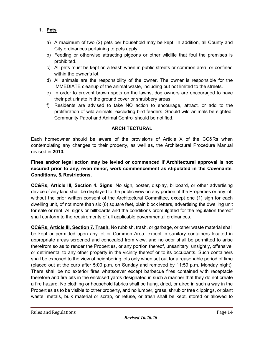**1. Pets**

- a) A maximum of two (2) pets per household may be kept. In addition, all County and City ordinances pertaining to pets apply.
- b) Feeding or otherwise attracting pigeons or other wildlife that foul the premises is prohibited.
- c) All pets must be kept on a leash when in public streets or common area, or confined within the owner's lot.
- d) All animals are the responsibility of the owner. The owner is responsible for the IMMEDIATE cleanup of the animal waste, including but not limited to the streets.
- e) In order to prevent brown spots on the lawns, dog owners are encouraged to have their pet urinate in the ground cover or shrubbery areas.
- f) Residents are advised to take NO action to encourage, attract, or add to the proliferation of wild animals, excluding bird feeders. Should wild animals be sighted, Community Patrol and Animal Control should be notified.

## **ARCHITECTURAL**

Each homeowner should be aware of the provisions of Article X of the CC&Rs when contemplating any changes to their property, as well as, the Architectural Procedure Manual revised in **2013.**

**Fines and/or legal action may be levied or commenced if Architectural approval is not secured prior to any, even minor, work commencement as stipulated in the Covenants, Conditions, & Restrictions.**

**CC&Rs, Article III, Section 4. Signs.** No sign, poster, display, billboard, or other advertising device of any kind shall be displayed to the public view on any portion of the Properties or any lot, without the prior written consent of the Architectural Committee, except one (1) sign for each dwelling unit, of not more than six (6) square feet, plain block letters, advertising the dwelling unit for sale or rent. All signs or billboards and the conditions promulgated for the regulation thereof shall conform to the requirements of all applicable governmental ordinances.

**CC&Rs, Article III, Section 7. Trash.** No rubbish, trash, or garbage, or other waste material shall be kept or permitted upon any lot or Common Area, except in sanitary containers located in appropriate areas screened and concealed from view, and no odor shall be permitted to arise therefrom so as to render the Properties, or any portion thereof, unsanitary, unsightly, offensive, or detrimental to any other property in the vicinity thereof or to its occupants. Such containers shall be exposed to the view of neighboring lots only when set out for a reasonable period of time (placed out at the curb after 5:00 p.m. on Sunday and removed by 11:59 p.m. Monday night). There shall be no exterior fires whatsoever except barbecue fires contained with receptacle therefore and fire pits in the enclosed yards designated in such a manner that they do not create a fire hazard. No clothing or household fabrics shall be hung, dried, or aired in such a way in the Properties as to be visible to other property, and no lumber, grass, shrub or tree clippings, or plant waste, metals, bulk material or scrap, or refuse, or trash shall be kept, stored or allowed to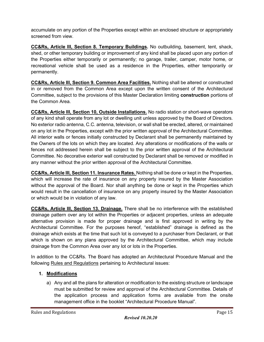accumulate on any portion of the Properties except within an enclosed structure or appropriately screened from view.

**CC&Rs, Article III, Section 8. Temporary Buildings.** No outbuilding, basement, tent, shack, shed, or other temporary building or improvement of any kind shall be placed upon any portion of the Properties either temporarily or permanently; no garage, trailer, camper, motor home, or recreational vehicle shall be used as a residence in the Properties, either temporarily or permanently.

**CC&Rs, Article III, Section 9. Common Area Facilities.** Nothing shall be altered or constructed in or removed from the Common Area except upon the written consent of the Architectural Committee, subject to the provisions of this Master Declaration limiting **construction** portions of the Common Area.

**CC&Rs, Article III, Section 10, Outside Installations.** No radio station or short-wave operators of any kind shall operate from any lot or dwelling unit unless approved by the Board of Directors. No exterior radio antenna, C.C. antenna, television, or wall shall be erected, altered, or maintained on any lot in the Properties, except with the prior written approval of the Architectural Committee. All interior walls or fences initially constructed by Declarant shall be permanently maintained by the Owners of the lots on which they are located. Any alterations or modifications of the walls or fences not addressed herein shall be subject to the prior written approval of the Architectural Committee. No decorative exterior wall constructed by Declarant shall be removed or modified in any manner without the prior written approval of the Architectural Committee.

**CC&Rs, Article III, Section 11. Insurance Rates.** Nothing shall be done or kept in the Properties, which will increase the rate of insurance on any property insured by the Master Association without the approval of the Board. Nor shall anything be done or kept in the Properties which would result in the cancellation of insurance on any property insured by the Master Association or which would be in violation of any law.

**CC&Rs, Article III, Section 13. Drainage.** There shall be no interference with the established drainage pattern over any lot within the Properties or adjacent properties, unless an adequate alternative provision is made for proper drainage and is first approved in writing by the Architectural Committee. For the purposes hereof, "established" drainage is defined as the drainage which exists at the time that such lot is conveyed to a purchaser from Declarant, or that which is shown on any plans approved by the Architectural Committee, which may include drainage from the Common Area over any lot or lots in the Properties.

In addition to the CC&Rs. The Board has adopted an Architectural Procedure Manual and the following Rules and Regulations pertaining to Architectural issues:

## **1. Modifications**

a) Any and all the plans for alteration or modification to the existing structure or landscape must be submitted for review and approval of the Architectural Committee. Details of the application process and application forms are available from the onsite management office in the booklet "Architectural Procedure Manual".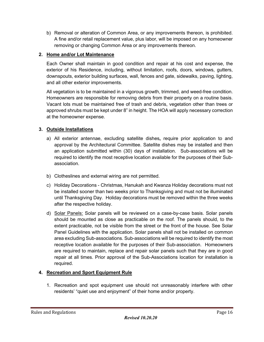b) Removal or alteration of Common Area, or any improvements thereon, is prohibited. A fine and/or retail replacement value, plus labor, will be imposed on any homeowner removing or changing Common Area or any improvements thereon.

## **2. Home and/or Lot Maintenance**

Each Owner shall maintain in good condition and repair at his cost and expense, the exterior of his Residence, including, without limitation, roofs, doors, windows, gutters, downspouts, exterior building surfaces, wall, fences and gate, sidewalks, paving, lighting, and all other exterior improvements.

All vegetation is to be maintained in a vigorous growth, trimmed, and weed-free condition. Homeowners are responsible for removing debris from their property on a routine basis. Vacant lots must be maintained free of trash and debris, vegetation other than trees or approved shrubs must be kept under 8" in height. The HOA will apply necessary correction at the homeowner expense.

## **3. Outside Installations**

- a) All exterior antennae, excluding satellite dishes**,** require prior application to and approval by the Architectural Committee. Satellite dishes may be installed and then an application submitted within (30) days of installation. Sub-associations will be required to identify the most receptive location available for the purposes of their Subassociation.
- b) Clotheslines and external wiring are not permitted.
- c) Holiday Decorations Christmas, Hanukah and Kwanza Holiday decorations must not be installed sooner than two weeks prior to Thanksgiving and must not be illuminated until Thanksgiving Day. Holiday decorations must be removed within the three weeks after the respective holiday.
- d) Solar Panels: Solar panels will be reviewed on a case-by-case basis. Solar panels should be mounted as close as practicable on the roof. The panels should, to the extent practicable, not be visible from the street or the front of the house. See Solar Panel Guidelines with the application. Solar panels shall not be installed on common area excluding Sub-associations. Sub-associations will be required to identify the most receptive location available for the purposes of their Sub-association. Homeowners are required to maintain, replace and repair solar panels such that they are in good repair at all times. Prior approval of the Sub-Associations location for installation is required.

#### **4. Recreation and Sport Equipment Rule**

1. Recreation and spot equipment use should not unreasonably interfere with other residents' "quiet use and enjoyment" of their home and/or property.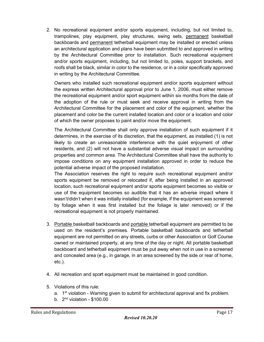2. No recreational equipment and/or sports equipment, including, but not limited to, trampolines, play equipment, play structures, swing sets, permanent basketball backboards and permanent tetherball equipment may be installed or erected unless an architectural application and plans have been submitted to and approved in writing by the Architectural Committee prior to installation. Such recreational equipment and/or sports equipment, including, but not limited to, poles, support brackets, and roofs shall be black, similar in color to the residence, or in a color specifically approved in writing by the Architectural Committee.

Owners who installed such recreational equipment and/or sports equipment without the express written Architectural approval prior to June 1, 2006, must either remove the recreational equipment and/or sport equipment within six months from the date of the adoption of the rule or must seek and receive approval in writing from the Architectural Committee for the placement and color of the equipment, whether the placement and color be the current installed location and color or a location and color of which the owner proposes to paint and/or move the equipment.

The Architectural Committee shall only approve installation of such equipment if it determines, in the exercise of its discretion, that the equipment, as installed (1) is not likely to create an unreasonable interference with the quiet enjoyment of other residents, and (2) will not have a substantial adverse visual impact on surrounding properties and common area. The Architectural Committee shall have the authority to impose conditions on any equipment installation approved in order to reduce the potential adverse impact of the proposed installation.

The Association reserves the right to require such recreational equipment and/or sports equipment be removed or relocated if, after being installed in an approved location, such recreational equipment and/or sports equipment becomes so visible or use of the equipment becomes so audible that it has an adverse impact where it wasn't/didn't when it was initially installed (for example, if the equipment was screened by foliage when it was first installed but the foliage is later removed) or if the recreational equipment is not properly maintained.

- 3. Portable basketball backboards and portable tetherball equipment are permitted to be used on the resident's premises. Portable basketball backboards and tetherball equipment are not permitted on any streets, curbs or other Association or Golf Course owned or maintained property, at any time of the day or night. All portable basketball backboard and tetherball equipment must be put away when not in use in a screened and concealed area (e.g., in garage, in an area screened by the side or rear of home, etc.).
- 4. All recreation and spo**r**t equipment must be maintained in good condition.
- 5. Violations of this rule:
	- a. 1<sup>st</sup> violation Warning given to submit for architectural approval and fix problem.
	- b.  $2<sup>nd</sup>$  violation \$100.00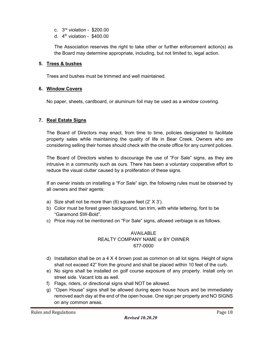- c. 3rd violation \$200.00
- d.  $4<sup>th</sup>$  violation \$400.00

The Association reserves the right to take other or further enforcement action(s) as the Board may determine appropriate, including, but not limited to, legal action.

#### **5. Trees & bushes**

Trees and bushes must be trimmed and well maintained.

#### **6. Window Covers**

No paper, sheets, cardboard, or aluminum foil may be used as a window covering.

#### **7. Real Estate Signs**

The Board of Directors may enact, from time to time, policies designated to facilitate property sales while maintaining the quality of life in Bear Creek. Owners who are considering selling their homes should check with the onsite office for any current policies.

The Board of Directors wishes to discourage the use of "For Sale" signs, as they are intrusive in a community such as ours. There has been a voluntary cooperative effort to reduce the visual clutter caused by a proliferation of these signs.

If an owner insists on installing a "For Sale" sign, the following rules must be observed by all owners and their agents:

- a) Size shall not be more than  $(6)$  square feet  $(2' \times 3')$ .
- b) Color must be forest green background, tan trim, with white lettering, font to be "Garamond SW-Bold".
- c) Price may not be mentioned on "For Sale" signs, allowed verbiage is as follows.

## AVAILABLE REALTY COMPANY NAME or BY OWNER 677-0000

- d) Installation shall be on a 4 X 4 brown post as common on all lot signs. Height of signs shall not exceed 42" from the ground and shall be placed within 10 feet of the curb.
- e) No signs shall be installed on golf course exposure of any property. Install only on street side. Vacant lots as well.
- f) Flags, riders, or directional signs shall NOT be allowed.
- g) "Open House" signs shall be allowed during **o**pen house hours and be immediately removed each day at the end of the open house. One sign per property and NO SIGNS on any common areas.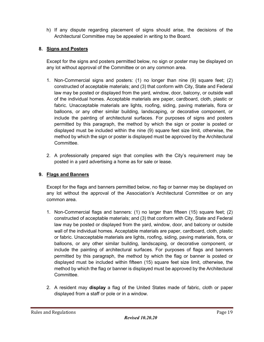h) If any dispute regarding placement of signs should arise, the decisions of the Architectural Committee may be appealed in writing to the Board.

## **8. Signs and Posters**

Except for the signs and posters permitted below, no sign or poster may be displayed on any lot without approval of the Committee or on any common area.

- 1. Non-Commercial signs and posters: (1) no longer than nine (9) square feet; (2) constructed of acceptable materials; and (3) that conform with City, State and Federal law may be posted or displayed from the yard, window, door, balcony, or outside wall of the individual homes. Acceptable materials are paper, cardboard, cloth, plastic or fabric. Unacceptable materials are lights, roofing, siding, paving materials, flora or balloons, or any other similar building, landscaping, or decorative component, or include the painting of architectural surfaces. For purposes of signs and posters permitted by this paragraph, the method by which the sign or poster is posted or displayed must be included within the nine (9) square feet size limit, otherwise, the method by which the sign or poster is displayed must be approved by the Architectural Committee.
- 2. A professionally prepared sign that complies with the City's requirement may be posted in a yard advertising a home as for sale or lease.

## **9. Flags and Banners**

Except for the flags and banners permitted below, no flag or banner may be displayed on any lot without the approval of the Association's Architectural Committee or on any common area.

- 1. Non-Commercial flags and banners: (1) no larger than fifteen (15) square feet; (2) constructed of acceptable materials; and (3) that conform with City, State and Federal law may be posted or displayed from the yard, window, door, and balcony or outside wall of the individual homes. Acceptable materials are paper, cardboard, cloth, plastic or fabric. Unacceptable materials are lights, roofing, siding, paving materials, flora, or balloons, or any other similar building, landscaping, or decorative component, or include the painting of architectural surfaces. For purposes of flags and banners permitted by this paragraph, the method by which the flag or banner is posted or displayed must be included within fifteen (15) square feet size limit, otherwise, the method by which the flag or banner is displayed must be approved by the Architectural Committee.
- 2. A resident may **display** a flag of the United States made of fabric, cloth or paper displayed from a staff or pole or in a window.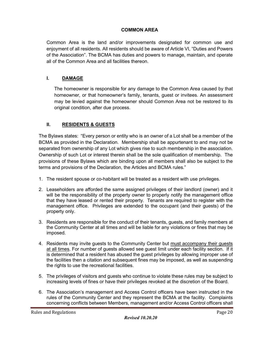## **COMMON AREA**

Common Area is the land and/or improvements designated for common use and enjoyment of all residents. All residents should be aware of Article VI, "Duties and Powers of the Association". The BCMA has duties and powers to manage, maintain, and operate all of the Common Area and all facilities thereon.

## **I. DAMAGE**

The homeowner is responsible for any damage to the Common Area caused by that homeowner, or that homeowner's family, tenants, guest or invitees. An assessment may be levied against the homeowner should Common Area not be restored to its original condition, after due process.

## **II. RESIDENTS & GUESTS**

The Bylaws states: "Every person or entity who is an owner of a Lot shall be a member of the BCMA as provided in the Declaration. Membership shall be appurtenant to and may not be separated from ownership of any Lot which gives rise to such membership in the association. Ownership of such Lot or interest therein shall be the sole qualification of membership. The provisions of these Bylaws which are binding upon all members shall also be subject to the terms and provisions of the Declaration, the Articles and BCMA rules."

- 1. The resident spouse or co-habitant will be treated as a resident with use privileges.
- 2. Leaseholders are afforded the same assigned privileges of their landlord (owner) and it will be the responsibility of the property owner to properly notify the management office that they have leased or rented their property. Tenants are required to register with the management office. Privileges are extended to the occupant (and their guests) of the property only.
- 3. Residents are responsible for the conduct of their tenants, guests, and family members at the Community Center at all times and will be liable for any violations or fines that may be imposed.
- 4. Residents may invite guests to the Community Center but must accompany their guests at all times. For number of guests allowed see guest limit under each facility section. If it is determined that a resident has abused the guest privileges by allowing improper use of the facilities then a citation and subsequent fines may be imposed, as well as suspending the rights to use the recreational facilities.
- 5. The privileges of visitors and guests who continue to violate these rules may be subject to increasing levels of fines or have their privileges revoked at the discretion of the Board.
- 6. The Association's management and Access Control officers have been instructed in the rules of the Community Center and they represent the BCMA at the facility. Complaints concerning conflicts between Members, management and/or Access Control officers shall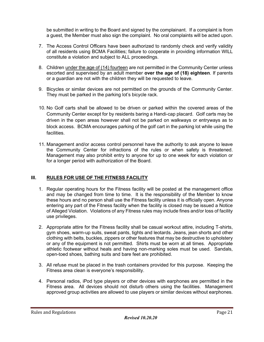be submitted in writing to the Board and signed by the complainant. If a complaint is from a guest, the Member must also sign the complaint. No oral complaints will be acted upon.

- 7. The Access Control Officers have been authorized to randomly check and verify validity of all residents using BCMA Facilities; failure to cooperate in providing information WILL constitute a violation and subject to ALL proceedings.
- 8. Children under the age of (14) fourteen are not permitted in the Community Center unless escorted and supervised by an adult member **over the age of (18) eighteen**. If parents or a guardian are not with the children they will be requested to leave.
- 9. Bicycles or similar devices are not permitted on the grounds of the Community Center. They must be parked in the parking lot's bicycle rack.
- 10. No Golf carts shall be allowed to be driven or parked within the covered areas of the Community Center except for by residents baring a Handi-cap placard. Golf carts may be driven in the open areas however shall not be parked on walkways or entryways as to block access. BCMA encourages parking of the golf cart in the parking lot while using the facilities.
- 11. Management and/or access control personnel have the authority to ask anyone to leave the Community Center for infractions of the rules or when safety is threatened. Management may also prohibit entry to anyone for up to one week for each violation or for a longer period with authorization of the Board.

#### **III. RULES FOR USE OF THE FITNESS FACILITY**

- 1. Regular operating hours for the Fitness facility will be posted at the management office and may be changed from time to time. It is the responsibility of the Member to know these hours and no person shall use the Fitness facility unless it is officially open. Anyone entering any part of the Fitness facility when the facility is closed may be issued a Notice of Alleged Violation. Violations of any Fitness rules may include fines and/or loss of facility use privileges.
- 2. Appropriate attire for the Fitness facility shall be casual workout attire, including T-shirts, gym shoes, warm-up suits, sweat pants, tights and leotards. Jeans, jean shorts and other clothing with belts, buckles, zippers or other features that may be destructive to upholstery or any of the equipment is not permitted. Shirts must be worn at all times. Appropriate athletic footwear without heals and having non-marking soles must be used. Sandals, open-toed shoes, bathing suits and bare feet are prohibited.
- 3. All refuse must be placed in the trash containers provided for this purpose. Keeping the Fitness area clean is everyone's responsibility.
- 4. Personal radios, iPod type players or other devices with earphones are permitted in the Fitness area. All devices should not disturb others using the facilities. Management approved group activities are allowed to use players or similar devices without earphones.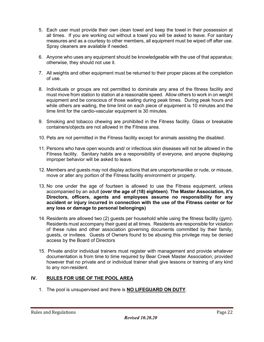- 5. Each user must provide their own clean towel and keep the towel in their possession at all times. If you are working out without a towel you will be asked to leave. For sanitary measures and as a courtesy to other members, all equipment must be wiped off after use. Spray cleaners are available if needed.
- 6. Anyone who uses any equipment should be knowledgeable with the use of that apparatus; otherwise, they should not use it.
- 7. All weights and other equipment must be returned to their proper places at the completion of use.
- 8. Individuals or groups are not permitted to dominate any area of the fitness facility and must move from station to station at a reasonable speed. Allow others to work in on weight equipment and be conscious of those waiting during peak times. During peak hours and while others are waiting, the time limit on each piece of equipment is 10 minutes and the time limit for the cardio-vascular equipment is 30 minutes.
- 9. Smoking and tobacco chewing are prohibited in the Fitness facility. Glass or breakable containers/objects are not allowed in the Fitness area.
- 10. Pets are not permitted in the Fitness facility except for animals assisting the disabled.
- 11. Persons who have open wounds and/ or infectious skin diseases will not be allowed in the Fitness facility. Sanitary habits are a responsibility of everyone, and anyone displaying improper behavior will be asked to leave.
- 12. Members and guests may not display actions that are unsportsmanlike or rude, or misuse, move or alter any portion of the Fitness facility environment or property.
- 13. No one under the age of fourteen is allowed to use the Fitness equipment, unless accompanied by an adult **(over the age of (18) eighteen)**. **The Master Association, it's Directors, officers, agents and employees assume no responsibility for any accident or injury incurred in connection with the use of the Fitness center or for any loss or damage to personal belongings)**
- 14. Residents are allowed two (2) guests per household while using the fitness facility (gym). Residents must accompany their guest at all times. Residents are responsible for violation of these rules and other association governing documents committed by their family, guests, or invitees. Guests of Owners found to be abusing this privilege may be denied access by the Board of Directors
- 15. Private and/or individual trainers must register with management and provide whatever documentation is from time to time required by Bear Creek Master Association; provided however that no private and or individual trainer shall give lessons or training of any kind to any non-resident.

#### **IV. RULES FOR USE OF THE POOL AREA**

1. The pool is unsupervised and there is **NO LIFEGUARD ON DUTY**.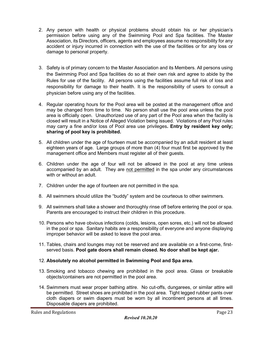- 2. Any person with health or physical problems should obtain his or her physician's permission before using any of the Swimming Pool and Spa facilities. The Master Association, its Directors, officers, agents and employees assume no responsibility for any accident or injury incurred in connection with the use of the facilities or for any loss or damage to personal property.
- 3. Safety is of primary concern to the Master Association and its Members. All persons using the Swimming Pool and Spa facilities do so at their own risk and agree to abide by the Rules for use of the facility. All persons using the facilities assume full risk of loss and responsibility for damage to their health. It is the responsibility of users to consult a physician before using any of the facilities.
- 4. Regular operating hours for the Pool area will be posted at the management office and may be changed from time to time. No person shall use the pool area unless the pool area is officially open. Unauthorized use of any part of the Pool area when the facility is closed will result in a Notice of Alleged Violation being issued. Violations of any Pool rules may carry a fine and/or loss of Pool area use privileges**. Entry by resident key only; sharing of pool key is prohibited.**
- 5. All children under the age of fourteen must be accompanied by an adult resident at least eighteen years of age. Large groups of more than (4) four must first be approved by the management office and Members must register all of their guests.
- 6. Children under the age of four will not be allowed in the pool at any time unless accompanied by an adult. They are not permitted in the spa under any circumstances with or without an adult.
- 7. Children under the age of fourteen are not permitted in the spa.
- 8. All swimmers should utilize the "buddy" system and be courteous to other swimmers.
- 9. All swimmers shall take a shower and thoroughly rinse off before entering the pool or spa. Parents are encouraged to instruct their children in this procedure.
- 10. Persons who have obvious infections (colds, lesions, open sores, etc.) will not be allowed in the pool or spa. Sanitary habits are a responsibility of everyone and anyone displaying improper behavior will be asked to leave the pool area.
- 11. Tables, chairs and lounges may not be reserved and are available on a first-come, firstserved basis. **Pool gate doors shall remain closed. No door shall be kept ajar.**
- 12. **Absolutely no alcohol permitted in Swimming Pool and Spa area.**
- 13. Smoking and tobacco chewing are prohibited in the pool area. Glass or breakable objects/containers are not permitted in the pool area.
- 14. Swimmers must wear proper bathing attire. No cut-offs, dungarees, or similar attire will be permitted. Street shoes are prohibited in the pool area. Tight legged rubber pants over cloth diapers or swim diapers must be worn by all incontinent persons at all times. Disposable diapers are prohibited.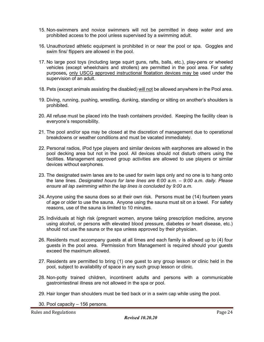- 15. Non-swimmers and novice swimmers will not be permitted in deep water and are prohibited access to the pool unless supervised by a swimming adult.
- 16. Unauthorized athletic equipment is prohibited in or near the pool or spa. Goggles and swim fins/ flippers are allowed in the pool.
- 17. No large pool toys (including large squirt guns, rafts, balls, etc.), play-pens or wheeled vehicles (except wheelchairs and strollers) are permitted in the pool area. For safety purposes*,* only USCG approved instructional floatation devices may be used under the supervision of an adult.
- 18. Pets (except animals assisting the disabled) will not be allowed anywhere in the Pool area.
- 19. Diving, running, pushing, wrestling, dunking, standing or sitting on another's shoulders is prohibited.
- 20. All refuse must be placed into the trash containers provided. Keeping the facility clean is everyone's responsibility.
- 21. The pool and/or spa may be closed at the discretion of management due to operational breakdowns or weather conditions and must be vacated immediately.
- 22. Personal radios, iPod type players and similar devices with earphones are allowed in the pool decking area but not in the pool. All devices should not disturb others using the facilities. Management approved group activities are allowed to use players or similar devices without earphones.
- 23. The designated swim lanes are to be used for swim laps only and no one is to hang onto the lane lines. *Designated hours for lane lines are 6:00 a.m. – 9:00 a.m. daily. Please ensure all lap swimming within the lap lines is concluded by 9:00 a.m.*
- 24. Anyone using the sauna does so at their own risk. Persons must be (14) fourteen years of age or older to use the sauna. Anyone using the sauna must sit on a towel. For safety reasons, use of the sauna is limited to 10 minutes.
- 25. Individuals at high risk (pregnant women, anyone taking prescription medicine, anyone using alcohol, or persons with elevated blood pressure, diabetes or heart disease, etc.) should not use the sauna or the spa unless approved by their physician.
- 26. Residents must accompany guests at all times and each family is allowed up to (4) four guests in the pool area. Permission from Management is required should your guests exceed the maximum allowed.
- 27. Residents are permitted to bring (1) one guest to any group lesson or clinic held in the pool, subject to availability of space in any such group lesson or clinic.
- 28. Non-potty trained children, incontinent adults and persons with a communicable gastrointestinal illness are not allowed in the spa or pool.
- 29. Hair longer than shoulders must be tied back or in a swim cap while using the pool.
- 30. Pool capacity 156 persons.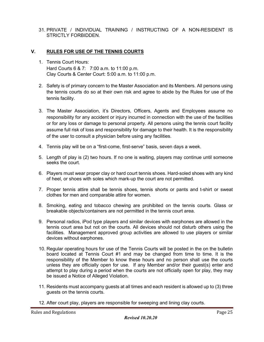31. PRIVATE / INDIVIDUAL TRAINING / INSTRUCTING OF A NON-RESIDENT IS STRICTLY FORBIDDEN.

#### **V. RULES FOR USE OF THE TENNIS COURTS**

- 1. Tennis Court Hours: Hard Courts 6 & 7: 7:00 a.m. to 11:00 p.m. Clay Courts & Center Court: 5:00 a.m. to 11:00 p.m.
- 2. Safety is of primary concern to the Master Association and its Members. All persons using the tennis courts do so at their own risk and agree to abide by the Rules for use of the tennis facility.
- 3. The Master Association, it's Directors, Officers, Agents and Employees assume no responsibility for any accident or injury incurred in connection with the use of the facilities or for any loss or damage to personal property. All persons using the tennis court facility assume full risk of loss and responsibility for damage to their health. It is the responsibility of the user to consult a physician before using any facilities.
- 4. Tennis play will be on a "first-come, first-serve" basis, seven days a week.
- 5. Length of play is (2) two hours. If no one is waiting, players may continue until someone seeks the court.
- 6. Players must wear proper clay or hard court tennis shoes. Hard-soled shoes with any kind of heel, or shoes with soles which mark-up the court are not permitted.
- 7. Proper tennis attire shall be tennis shoes, tennis shorts or pants and t-shirt or sweat clothes for men and comparable attire for women.
- 8. Smoking, eating and tobacco chewing are prohibited on the tennis courts. Glass or breakable objects/containers are not permitted in the tennis court area.
- 9. Personal radios, iPod type players and similar devices with earphones are allowed in the tennis court area but not on the courts. All devices should not disturb others using the facilities. Management approved group activities are allowed to use players or similar devices without earphones.
- 10. Regular operating hours for use of the Tennis Courts will be posted in the on the bulletin board located at Tennis Court #1 and may be changed from time to time. It is the responsibility of the Member to know these hours and no person shall use the courts unless they are officially open for use. If any Member and/or their guest(s) enter and attempt to play during a period when the courts are not officially open for play, they may be issued a Notice of Alleged Violation.
- 11. Residents must accompany guests at all times and each resident is allowed up to (3) three guests on the tennis courts.
- 12. After court play, players are responsible for sweeping and lining clay courts.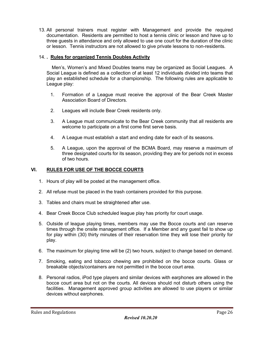13. All personal trainers must register with Management and provide the required documentation. Residents are permitted to host a tennis clinic or lesson and have up to three guests in attendance and only allowed to use one court for the duration of the clinic or lesson. Tennis instructors are not allowed to give private lessons to non-residents.

#### 14. **. Rules for organized Tennis Doubles Activity**

 Men's, Women's and Mixed Doubles teams may be organized as Social Leagues. A Social League is defined as a collection of at least 12 individuals divided into teams that play an established schedule for a championship. The following rules are applicable to League play:

- 1. Formation of a League must receive the approval of the Bear Creek Master Association Board of Directors.
- 2. Leagues will include Bear Creek residents only.
- 3. A League must communicate to the Bear Creek community that all residents are welcome to participate on a first come first serve basis.
- 4. A League must establish a start and ending date for each of its seasons.
- 5. A League, upon the approval of the BCMA Board, may reserve a maximum of three designated courts for its season, providing they are for periods not in excess of two hours.

#### **VI. RULES FOR USE OF THE BOCCE COURTS**

- 1. Hours of play will be posted at the management office.
- 2. All refuse must be placed in the trash containers provided for this purpose.
- 3. Tables and chairs must be straightened after use.
- 4. Bear Creek Bocce Club scheduled league play has priority for court usage.
- 5. Outside of league playing times, members may use the Bocce courts and can reserve times through the onsite management office. If a Member and any guest fail to show up for play within (30) thirty minutes of their reservation time they will lose their priority for play.
- 6. The maximum for playing time will be (2) two hours, subject to change based on demand.
- 7. Smoking, eating and tobacco chewing are prohibited on the bocce courts. Glass or breakable objects/containers are not permitted in the bocce court area.
- 8. Personal radios, iPod type players and similar devices with earphones are allowed in the bocce court area but not on the courts. All devices should not disturb others using the facilities. Management approved group activities are allowed to use players or similar devices without earphones.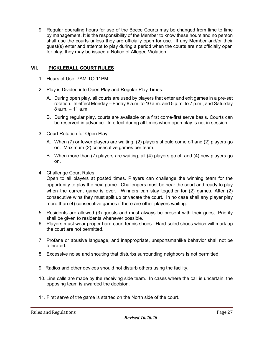9. Regular operating hours for use of the Bocce Courts may be changed from time to time by management. It is the responsibility of the Member to know these hours and no person shall use the courts unless they are officially open for use. If any Member and/or their guest(s) enter and attempt to play during a period when the courts are not officially open for play, they may be issued a Notice of Alleged Violation.

#### **VII. PICKLEBALL COURT RULES**

- 1. Hours of Use: 7AM TO 11PM
- 2. Play is Divided into Open Play and Regular Play Times.
	- A. During open play, all courts are used by players that enter and exit games in a pre-set rotation. In effect Monday – Friday 8 a.m. to 10 a.m. and 5 p.m. to 7 p.m., and Saturday 8 a.m. – 11 a.m.
	- B. During regular play, courts are available on a first come-first serve basis. Courts can be reserved in advance. In effect during all times when open play is not in session.
- 3. Court Rotation for Open Play:
	- A. When (7) or fewer players are waiting, (2) players should come off and (2) players go on. Maximum (2) consecutive games per team.
	- B. When more than (7) players are waiting, all (4) players go off and (4) new players go on.
- 4. Challenge Court Rules:

Open to all players at posted times. Players can challenge the winning team for the opportunity to play the next game. Challengers must be near the court and ready to play when the current game is over. Winners can stay together for (2) games. After (2) consecutive wins they must split up or vacate the court. In no case shall any player play more than (4) consecutive games if there are other players waiting.

- 5. Residents are allowed (3) guests and must always be present with their guest. Priority shall be given to residents whenever possible.
- 6. Players must wear proper hard-court tennis shoes. Hard-soled shoes which will mark up the court are not permitted.
- 7. Profane or abusive language, and inappropriate, unsportsmanlike behavior shall not be tolerated.
- 8. Excessive noise and shouting that disturbs surrounding neighbors is not permitted.
- 9. Radios and other devices should not disturb others using the facility.
- 10. Line calls are made by the receiving side team. In cases where the call is uncertain, the opposing team is awarded the decision.
- 11. First serve of the game is started on the North side of the court.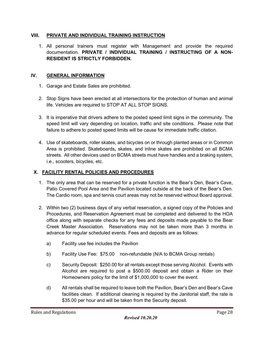## **VIII. PRIVATE AND INDIVIDUAL TRAINING INSTRUCTION**

1. All personal trainers must register with Management and provide the required documentation. **PRIVATE / INDIVIDUAL TRAINING / INSTRUCTING OF A NON-RESIDENT IS STRICTLY FORBIDDEN.**

#### **IV. GENERAL INFORMATION**

- 1. Garage and Estate Sales are prohibited.
- 2. Stop Signs have been erected at all intersections for the protection of human and animal life. Vehicles are required to STOP AT ALL STOP SIGNS.
- 3. It is imperative that drivers adhere to the posted speed limit signs in the community. The speed limit will vary depending on location, traffic and site conditions. Please note that failure to adhere to posted speed limits will be cause for immediate traffic citation.
- 4. Use of skateboards, roller skates, and bicycles on or through planted areas or in Common Area is prohibited. Skateboards**,** skates, and inline skates are prohibited on all BCMA streets. All other devices used on BCMA streets must have handles and a braking system, i.e., scooters, bicycles, etc.

## **X. FACILITY RENTAL POLICIES AND PROCEDURES**

- 1. The only area that can be reserved for a private function is the Bear's Den, Bear's Cave, Patio Covered Pool Area and the Pavilion located outside at the back of the Bear's Den. The Cardio room, spa and tennis court areas may not be reserved without Board approval.
- 2. Within two (2) business days of any verbal reservation, a signed copy of the Policies and Procedures, and Reservation Agreement must be completed and delivered to the HOA office along with separate checks for any fees and deposits made payable to the Bear Creek Master Association. Reservations may not be taken more than 3 months in advance for regular scheduled events. Fees and deposits are as follows:
	- a) Facility use fee includes the Pavilion
	- b) Facility Use Fee: \$75.00 non-refundable (N/A to BCMA Group rentals)
	- c) Security Deposit: \$250.00 for all rentals except those serving Alcohol. Events with Alcohol are required to post a \$500.00 deposit and obtain a Rider on their Homeowners policy for the limit of \$1,000,000 to cover the event.
	- d) All rentals shall be required to leave both the Pavilion, Bear's Den and Bear's Cave facilities clean. If additional cleaning is required by the Janitorial staff, the rate is \$35.00 per hour and will be taken from the Security deposit.